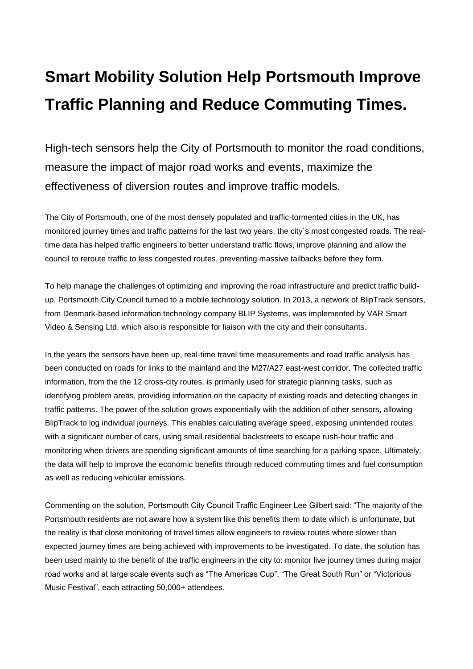## **Smart Mobility Solution Help Portsmouth Improve Traffic Planning and Reduce Commuting Times.**

High-tech sensors help the City of Portsmouth to monitor the road conditions, measure the impact of major road works and events, maximize the effectiveness of diversion routes and improve traffic models.

The City of Portsmouth, one of the most densely populated and traffic-tormented cities in the UK, has monitored journey times and traffic patterns for the last two years, the city´s most congested roads. The realtime data has helped traffic engineers to better understand traffic flows, improve planning and allow the council to reroute traffic to less congested routes, preventing massive tailbacks before they form.

To help manage the challenges of optimizing and improving the road infrastructure and predict traffic buildup, Portsmouth City Council turned to a mobile technology solution. In 2013, a network of BlipTrack sensors, from Denmark-based information technology company BLIP Systems, was implemented by VAR Smart Video & Sensing Ltd, which also is responsible for liaison with the city and their consultants.

In the years the sensors have been up, real-time travel time measurements and road traffic analysis has been conducted on roads for links to the mainland and the M27/A27 east-west corridor. The collected traffic information, from the the 12 cross-city routes, is primarily used for strategic planning tasks, such as identifying problem areas, providing information on the capacity of existing roads and detecting changes in traffic patterns. The power of the solution grows exponentially with the addition of other sensors, allowing BlipTrack to log individual journeys. This enables calculating average speed, exposing unintended routes with a significant number of cars, using small residential backstreets to escape rush-hour traffic and monitoring when drivers are spending significant amounts of time searching for a parking space. Ultimately, the data will help to improve the economic benefits through reduced commuting times and fuel consumption as well as reducing vehicular emissions.

Commenting on the solution, Portsmouth City Council Traffic Engineer Lee Gilbert said: "The majority of the Portsmouth residents are not aware how a system like this benefits them to date which is unfortunate, but the reality is that close monitoring of travel times allow engineers to review routes where slower than expected journey times are being achieved with improvements to be investigated. To date, the solution has been used mainly to the benefit of the traffic engineers in the city to: monitor live journey times during major road works and at large scale events such as "The Americas Cup", "The Great South Run" or "Victorious Music Festival", each attracting 50,000+ attendees.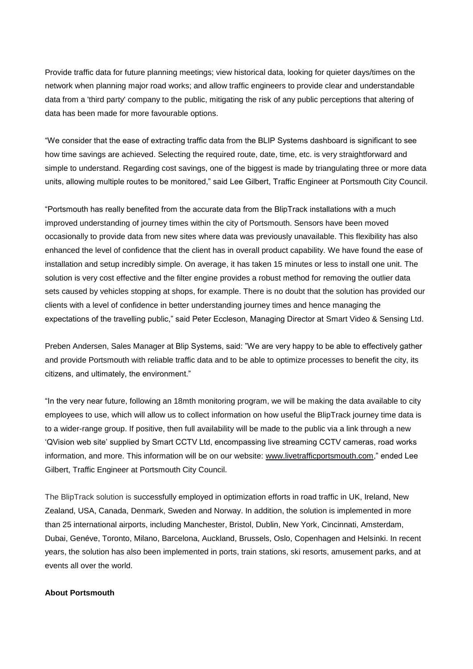Provide traffic data for future planning meetings; view historical data, looking for quieter days/times on the network when planning major road works; and allow traffic engineers to provide clear and understandable data from a 'third party' company to the public, mitigating the risk of any public perceptions that altering of data has been made for more favourable options.

"We consider that the ease of extracting traffic data from the BLIP Systems dashboard is significant to see how time savings are achieved. Selecting the required route, date, time, etc. is very straightforward and simple to understand. Regarding cost savings, one of the biggest is made by triangulating three or more data units, allowing multiple routes to be monitored," said Lee Gilbert, Traffic Engineer at Portsmouth City Council.

"Portsmouth has really benefited from the accurate data from the BlipTrack installations with a much improved understanding of journey times within the city of Portsmouth. Sensors have been moved occasionally to provide data from new sites where data was previously unavailable. This flexibility has also enhanced the level of confidence that the client has in overall product capability. We have found the ease of installation and setup incredibly simple. On average, it has taken 15 minutes or less to install one unit. The solution is very cost effective and the filter engine provides a robust method for removing the outlier data sets caused by vehicles stopping at shops, for example. There is no doubt that the solution has provided our clients with a level of confidence in better understanding journey times and hence managing the expectations of the travelling public," said Peter Eccleson, Managing Director at Smart Video & Sensing Ltd.

Preben Andersen, Sales Manager at Blip Systems, said: "We are very happy to be able to effectively gather and provide Portsmouth with reliable traffic data and to be able to optimize processes to benefit the city, its citizens, and ultimately, the environment."

"In the very near future, following an 18mth monitoring program, we will be making the data available to city employees to use, which will allow us to collect information on how useful the BlipTrack journey time data is to a wider-range group. If positive, then full availability will be made to the public via a link through a new 'QVision web site' supplied by Smart CCTV Ltd, encompassing live streaming CCTV cameras, road works information, and more. This information will be on our website: [www.livetrafficportsmouth.com,](http://www.livetrafficportsmouth.com/)" ended Lee Gilbert, Traffic Engineer at Portsmouth City Council.

The BlipTrack solution is successfully employed in optimization efforts in road traffic in UK, Ireland, New Zealand, USA, Canada, Denmark, Sweden and Norway. In addition, the solution is implemented in more than 25 international airports, including Manchester, Bristol, Dublin, New York, Cincinnati, Amsterdam, Dubai, Genéve, Toronto, Milano, Barcelona, Auckland, Brussels, Oslo, Copenhagen and Helsinki. In recent years, the solution has also been implemented in ports, train stations, ski resorts, amusement parks, and at events all over the world.

## **About Portsmouth**